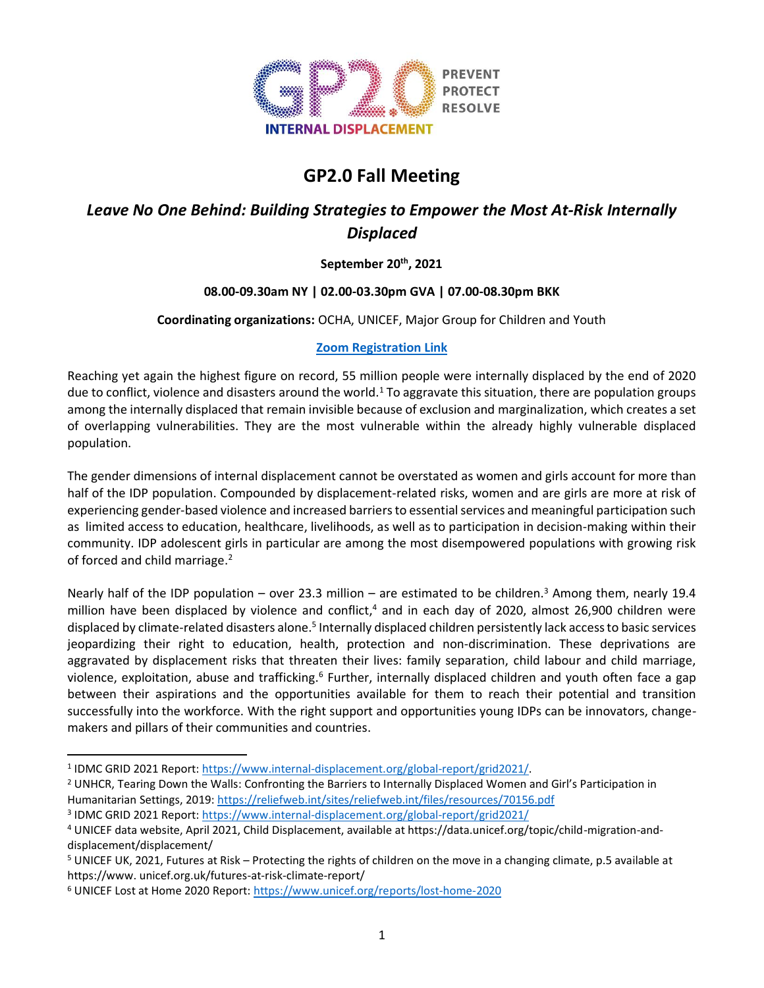

# **GP2.0 Fall Meeting**

# *Leave No One Behind: Building Strategies to Empower the Most At-Risk Internally Displaced*

# **September 20th, 2021**

# **08.00-09.30am NY | 02.00-03.30pm GVA | 07.00-08.30pm BKK**

## **Coordinating organizations:** OCHA, UNICEF, Major Group for Children and Youth

## **[Zoom Registration Link](https://undp.zoom.us/webinar/register/WN_HTxI7ReeQ6GPVHtNQcNP7w)**

Reaching yet again the highest figure on record, 55 million people were internally displaced by the end of 2020 due to conflict, violence and disasters around the world.<sup>1</sup> To aggravate this situation, there are population groups among the internally displaced that remain invisible because of exclusion and marginalization, which creates a set of overlapping vulnerabilities. They are the most vulnerable within the already highly vulnerable displaced population.

The gender dimensions of internal displacement cannot be overstated as women and girls account for more than half of the IDP population. Compounded by displacement-related risks, women and are girls are more at risk of experiencing gender-based violence and increased barriers to essential services and meaningful participation such as limited access to education, healthcare, livelihoods, as well as to participation in decision-making within their community. IDP adolescent girls in particular are among the most disempowered populations with growing risk of forced and child marriage.<sup>2</sup>

Nearly half of the IDP population – over 23.3 million – are estimated to be children.<sup>3</sup> Among them, nearly 19.4 million have been displaced by violence and conflict,<sup>4</sup> and in each day of 2020, almost 26,900 children were displaced by climate-related disasters alone.<sup>5</sup> Internally displaced children persistently lack access to basic services jeopardizing their right to education, health, protection and non-discrimination. These deprivations are aggravated by displacement risks that threaten their lives: family separation, child labour and child marriage, violence, exploitation, abuse and trafficking.<sup>6</sup> Further, internally displaced children and youth often face a gap between their aspirations and the opportunities available for them to reach their potential and transition successfully into the workforce. With the right support and opportunities young IDPs can be innovators, changemakers and pillars of their communities and countries.

<sup>3</sup> IDMC GRID 2021 Report:<https://www.internal-displacement.org/global-report/grid2021/>

<sup>&</sup>lt;sup>1</sup> IDMC GRID 2021 Report: https://www.internal-displacement.org/global-report/grid2021/

<sup>&</sup>lt;sup>2</sup> UNHCR, Tearing Down the Walls: Confronting the Barriers to Internally Displaced Women and Girl's Participation in Humanitarian Settings, 2019[: https://reliefweb.int/sites/reliefweb.int/files/resources/70156.pdf](https://reliefweb.int/sites/reliefweb.int/files/resources/70156.pdf)

<sup>4</sup> UNICEF data website, April 2021, Child Displacement, available at https://data.unicef.org/topic/child-migration-anddisplacement/displacement/

<sup>5</sup> UNICEF UK, 2021, Futures at Risk – Protecting the rights of children on the move in a changing climate, p.5 available at https://www. unicef.org.uk/futures-at-risk-climate-report/

<sup>6</sup> UNICEF Lost at Home 2020 Report:<https://www.unicef.org/reports/lost-home-2020>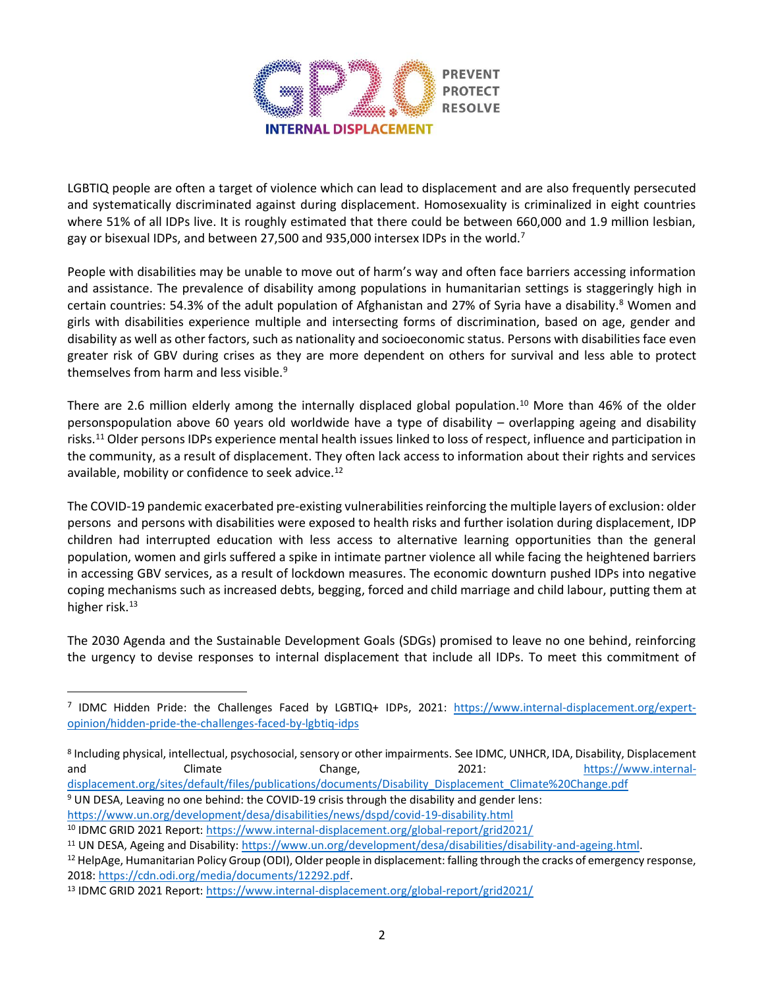

LGBTIQ people are often a target of violence which can lead to displacement and are also frequently persecuted and systematically discriminated against during displacement. Homosexuality is criminalized in eight countries where 51% of all IDPs live. It is roughly estimated that there could be between 660,000 and 1.9 million lesbian, gay or bisexual IDPs, and between 27,500 and 935,000 intersex IDPs in the world.<sup>7</sup>

People with disabilities may be unable to move out of harm's way and often face barriers accessing information and assistance. The prevalence of disability among populations in humanitarian settings is staggeringly high in certain countries: 54.3% of the adult population of Afghanistan and 27% of Syria have a disability. <sup>8</sup> Women and girls with disabilities experience multiple and intersecting forms of discrimination, based on age, gender and disability as well as other factors, such as nationality and socioeconomic status. Persons with disabilities face even greater risk of GBV during crises as they are more dependent on others for survival and less able to protect themselves from harm and less visible.<sup>9</sup>

There are 2.6 million elderly among the internally displaced global population. <sup>10</sup> More than 46% of the older personspopulation above 60 years old worldwide have a type of disability – overlapping ageing and disability risks.<sup>11</sup> Older persons IDPs experience mental health issues linked to loss of respect, influence and participation in the community, as a result of displacement. They often lack access to information about their rights and services available, mobility or confidence to seek advice.<sup>12</sup>

The COVID-19 pandemic exacerbated pre-existing vulnerabilities reinforcing the multiple layers of exclusion: older persons and persons with disabilities were exposed to health risks and further isolation during displacement, IDP children had interrupted education with less access to alternative learning opportunities than the general population, women and girls suffered a spike in intimate partner violence all while facing the heightened barriers in accessing GBV services, as a result of lockdown measures. The economic downturn pushed IDPs into negative coping mechanisms such as increased debts, begging, forced and child marriage and child labour, putting them at higher risk.<sup>13</sup>

The 2030 Agenda and the Sustainable Development Goals (SDGs) promised to leave no one behind, reinforcing the urgency to devise responses to internal displacement that include all IDPs. To meet this commitment of

<https://www.un.org/development/desa/disabilities/news/dspd/covid-19-disability.html>

<sup>&</sup>lt;sup>7</sup> IDMC [Hidden Pride:](https://www.internal-displacement.org/expert-opinion/hidden-pride-the-challenges-faced-by-lgbtiq-idps) the Challenges Faced by LGBTIQ+ IDPs, 2021: [https://www.internal-displacement.org/expert](https://www.internal-displacement.org/expert-opinion/hidden-pride-the-challenges-faced-by-lgbtiq-idps)[opinion/hidden-pride-the-challenges-faced-by-lgbtiq-idps](https://www.internal-displacement.org/expert-opinion/hidden-pride-the-challenges-faced-by-lgbtiq-idps)

<sup>8</sup> Including physical, intellectual, psychosocial, sensory or other impairments. See IDMC, UNHCR, IDA, Disability, Displacement and Climate Change, 2021: [https://www.internal](https://www.internal-displacement.org/sites/default/files/publications/documents/Disability_Displacement_Climate%20Change.pdf)[displacement.org/sites/default/files/publications/documents/Disability\\_Displacement\\_Climate%20Change.pdf](https://www.internal-displacement.org/sites/default/files/publications/documents/Disability_Displacement_Climate%20Change.pdf) <sup>9</sup> UN DESA, Leaving no one behind: the COVID-19 crisis through the disability and gender lens:

<sup>10</sup> IDMC GRID 2021 Report:<https://www.internal-displacement.org/global-report/grid2021/>

<sup>11</sup> UN DESA, Ageing and Disability: [https://www.un.org/development/desa/disabilities/disability-and-ageing.html.](https://www.un.org/development/desa/disabilities/disability-and-ageing.html)

<sup>&</sup>lt;sup>12</sup> HelpAge, Humanitarian Policy Group (ODI), Older people in displacement: falling through the cracks of emergency response, 2018: [https://cdn.odi.org/media/documents/12292.pdf.](https://cdn.odi.org/media/documents/12292.pdf)

<sup>13</sup> IDMC GRID 2021 Report:<https://www.internal-displacement.org/global-report/grid2021/>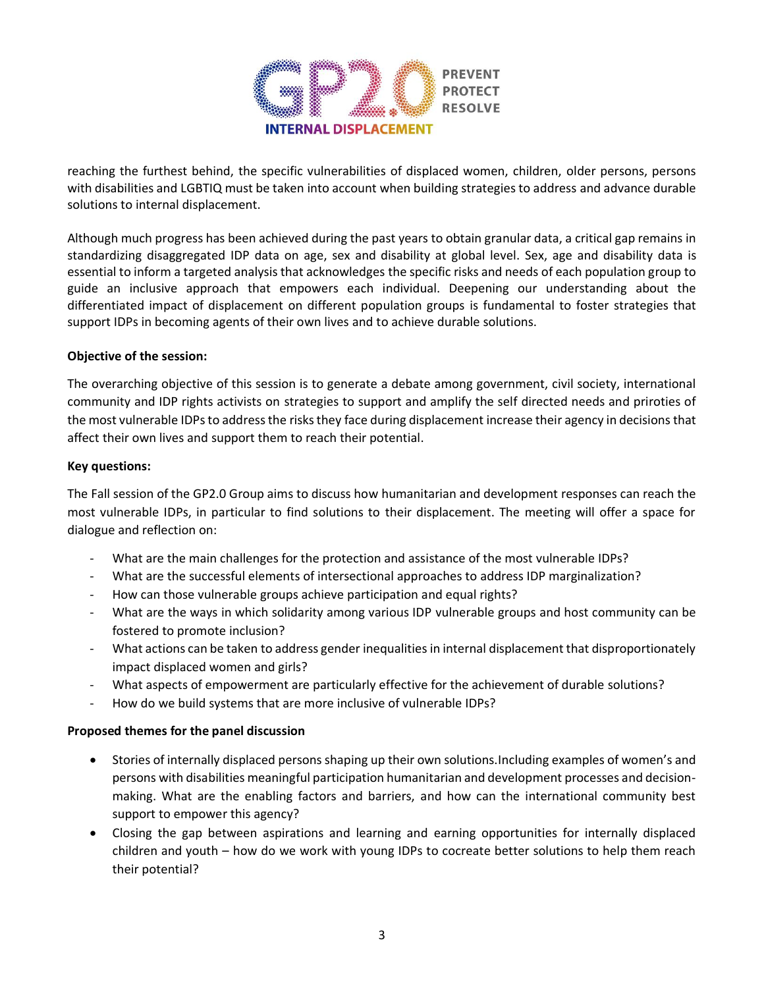

reaching the furthest behind, the specific vulnerabilities of displaced women, children, older persons, persons with disabilities and LGBTIQ must be taken into account when building strategies to address and advance durable solutions to internal displacement.

Although much progress has been achieved during the past years to obtain granular data, a critical gap remains in standardizing disaggregated IDP data on age, sex and disability at global level. Sex, age and disability data is essential to inform a targeted analysis that acknowledges the specific risks and needs of each population group to guide an inclusive approach that empowers each individual. Deepening our understanding about the differentiated impact of displacement on different population groups is fundamental to foster strategies that support IDPs in becoming agents of their own lives and to achieve durable solutions.

#### **Objective of the session:**

The overarching objective of this session is to generate a debate among government, civil society, international community and IDP rights activists on strategies to support and amplify the self directed needs and priroties of the most vulnerable IDPsto address the risks they face during displacement increase their agency in decisions that affect their own lives and support them to reach their potential.

#### **Key questions:**

The Fall session of the GP2.0 Group aims to discuss how humanitarian and development responses can reach the most vulnerable IDPs, in particular to find solutions to their displacement. The meeting will offer a space for dialogue and reflection on:

- What are the main challenges for the protection and assistance of the most vulnerable IDPs?
- What are the successful elements of intersectional approaches to address IDP marginalization?
- How can those vulnerable groups achieve participation and equal rights?
- What are the ways in which solidarity among various IDP vulnerable groups and host community can be fostered to promote inclusion?
- What actions can be taken to address gender inequalities in internal displacement that disproportionately impact displaced women and girls?
- What aspects of empowerment are particularly effective for the achievement of durable solutions?
- How do we build systems that are more inclusive of vulnerable IDPs?

#### **Proposed themes for the panel discussion**

- Stories of internally displaced persons shaping up their own solutions.Including examples of women's and persons with disabilities meaningful participation humanitarian and development processes and decisionmaking. What are the enabling factors and barriers, and how can the international community best support to empower this agency?
- Closing the gap between aspirations and learning and earning opportunities for internally displaced children and youth – how do we work with young IDPs to cocreate better solutions to help them reach their potential?